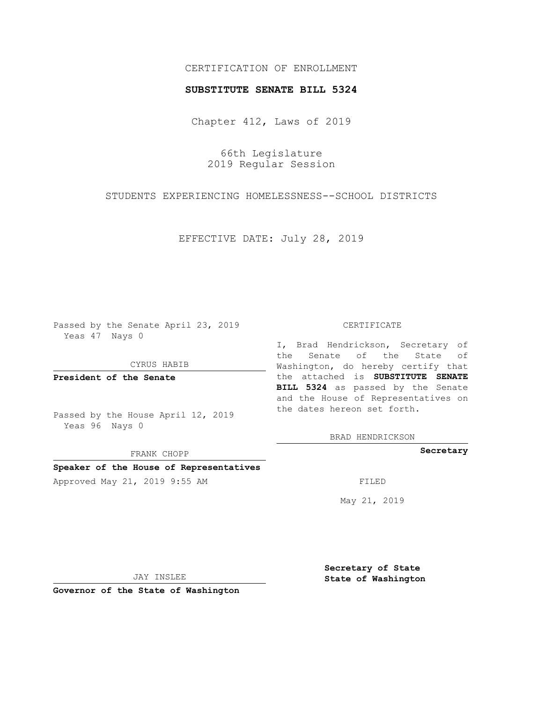## CERTIFICATION OF ENROLLMENT

## **SUBSTITUTE SENATE BILL 5324**

Chapter 412, Laws of 2019

66th Legislature 2019 Regular Session

STUDENTS EXPERIENCING HOMELESSNESS--SCHOOL DISTRICTS

EFFECTIVE DATE: July 28, 2019

Passed by the Senate April 23, 2019 Yeas 47 Nays 0

CYRUS HABIB

**President of the Senate**

Passed by the House April 12, 2019 Yeas 96 Nays 0

FRANK CHOPP

## **Speaker of the House of Representatives**

Approved May 21, 2019 9:55 AM FILED

#### CERTIFICATE

I, Brad Hendrickson, Secretary of the Senate of the State of Washington, do hereby certify that the attached is **SUBSTITUTE SENATE BILL 5324** as passed by the Senate and the House of Representatives on the dates hereon set forth.

BRAD HENDRICKSON

**Secretary**

May 21, 2019

JAY INSLEE

**Governor of the State of Washington**

**Secretary of State State of Washington**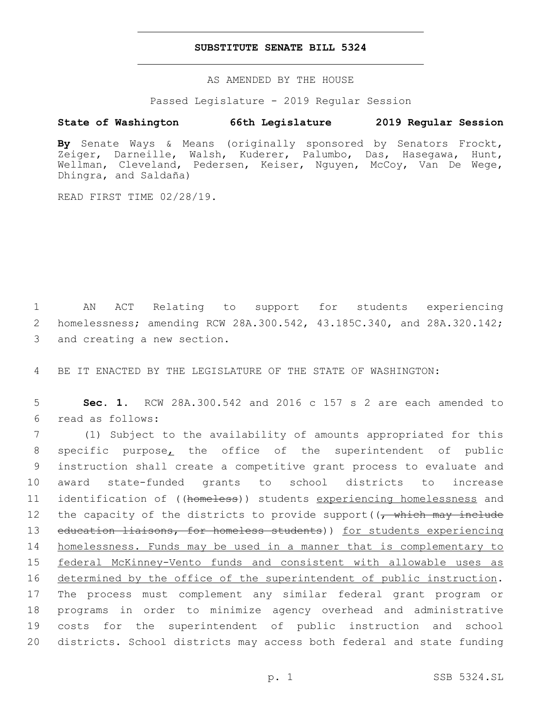## **SUBSTITUTE SENATE BILL 5324**

AS AMENDED BY THE HOUSE

Passed Legislature - 2019 Regular Session

# **State of Washington 66th Legislature 2019 Regular Session**

**By** Senate Ways & Means (originally sponsored by Senators Frockt, Zeiger, Darneille, Walsh, Kuderer, Palumbo, Das, Hasegawa, Hunt, Wellman, Cleveland, Pedersen, Keiser, Nguyen, McCoy, Van De Wege, Dhingra, and Saldaña)

READ FIRST TIME 02/28/19.

1 AN ACT Relating to support for students experiencing 2 homelessness; amending RCW 28A.300.542, 43.185C.340, and 28A.320.142; 3 and creating a new section.

4 BE IT ENACTED BY THE LEGISLATURE OF THE STATE OF WASHINGTON:

5 **Sec. 1.** RCW 28A.300.542 and 2016 c 157 s 2 are each amended to read as follows:6

 (1) Subject to the availability of amounts appropriated for this specific purpose, the office of the superintendent of public instruction shall create a competitive grant process to evaluate and award state-funded grants to school districts to increase 11 identification of ((homeless)) students experiencing homelessness and 12 the capacity of the districts to provide support((, which may include 13 education liaisons, for homeless students)) for students experiencing homelessness. Funds may be used in a manner that is complementary to federal McKinney-Vento funds and consistent with allowable uses as 16 determined by the office of the superintendent of public instruction. The process must complement any similar federal grant program or programs in order to minimize agency overhead and administrative costs for the superintendent of public instruction and school districts. School districts may access both federal and state funding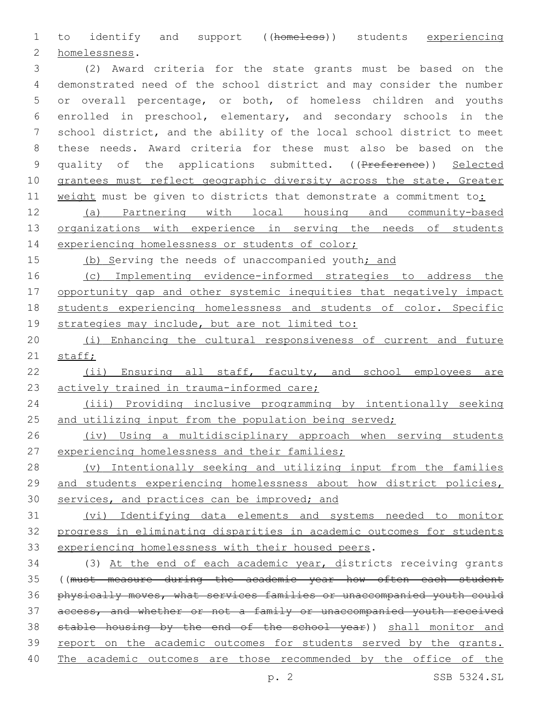1 to identify and support ((homeless)) students experiencing homelessness.2

 (2) Award criteria for the state grants must be based on the demonstrated need of the school district and may consider the number or overall percentage, or both, of homeless children and youths enrolled in preschool, elementary, and secondary schools in the school district, and the ability of the local school district to meet these needs. Award criteria for these must also be based on the 9 quality of the applications submitted. ((Preference)) Selected grantees must reflect geographic diversity across the state. Greater weight must be given to districts that demonstrate a commitment to:

 (a) Partnering with local housing and community-based organizations with experience in serving the needs of students 14 experiencing homelessness or students of color;

15 (b) Serving the needs of unaccompanied youth; and

 (c) Implementing evidence-informed strategies to address the 17 opportunity gap and other systemic inequities that negatively impact students experiencing homelessness and students of color. Specific 19 strategies may include, but are not limited to:

 (i) Enhancing the cultural responsiveness of current and future 21 staff;

 (ii) Ensuring all staff, faculty, and school employees are 23 actively trained in trauma-informed care;

 (iii) Providing inclusive programming by intentionally seeking 25 and utilizing input from the population being served;

26 (iv) Using a multidisciplinary approach when serving students 27 experiencing homelessness and their families;

 (v) Intentionally seeking and utilizing input from the families and students experiencing homelessness about how district policies, services, and practices can be improved; and

 (vi) Identifying data elements and systems needed to monitor progress in eliminating disparities in academic outcomes for students experiencing homelessness with their housed peers.

 (3) At the end of each academic year, districts receiving grants ((must measure during the academic year how often each student physically moves, what services families or unaccompanied youth could 37 access, and whether or not a family or unaccompanied youth received stable housing by the end of the school year)) shall monitor and 39 report on the academic outcomes for students served by the grants. The academic outcomes are those recommended by the office of the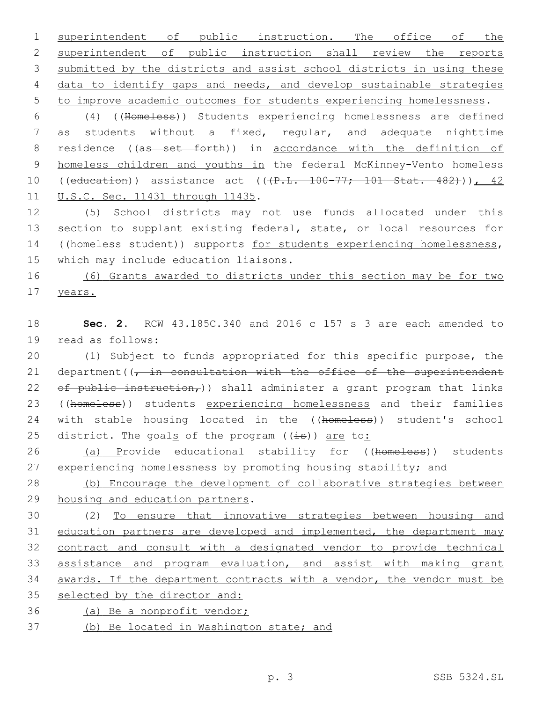superintendent of public instruction. The office of the 2 superintendent of public instruction shall review the reports submitted by the districts and assist school districts in using these data to identify gaps and needs, and develop sustainable strategies to improve academic outcomes for students experiencing homelessness.

6 (4) ((Homeless)) Students experiencing homelessness are defined 7 as students without a fixed, regular, and adequate nighttime 8 residence ((as set forth)) in accordance with the definition of 9 homeless children and youths in the federal McKinney-Vento homeless 10 ((education)) assistance act ((+P.L. 100-77; 101 Stat. 482))), 42 11 U.S.C. Sec. 11431 through 11435.

12 (5) School districts may not use funds allocated under this 13 section to supplant existing federal, state, or local resources for 14 ((homeless student)) supports for students experiencing homelessness, 15 which may include education liaisons.

16 (6) Grants awarded to districts under this section may be for two 17 years.

18 **Sec. 2.** RCW 43.185C.340 and 2016 c 157 s 3 are each amended to 19 read as follows:

20 (1) Subject to funds appropriated for this specific purpose, the 21 department  $(1, in constant)$  consultation with the office of the superintendent 22 of public instruction,  $)$  shall administer a grant program that links 23 ((homeless)) students experiencing homelessness and their families 24 with stable housing located in the ((homeless)) student's school 25 district. The goals of the program  $((\frac{1}{15}))$  are to:

26 (a) Provide educational stability for ((homeless)) students 27 experiencing homelessness by promoting housing stability; and

28 (b) Encourage the development of collaborative strategies between 29 housing and education partners.

 (2) To ensure that innovative strategies between housing and 31 education partners are developed and implemented, the department may contract and consult with a designated vendor to provide technical assistance and program evaluation, and assist with making grant awards. If the department contracts with a vendor, the vendor must be selected by the director and:

36 (a) Be a nonprofit vendor;

37 (b) Be located in Washington state; and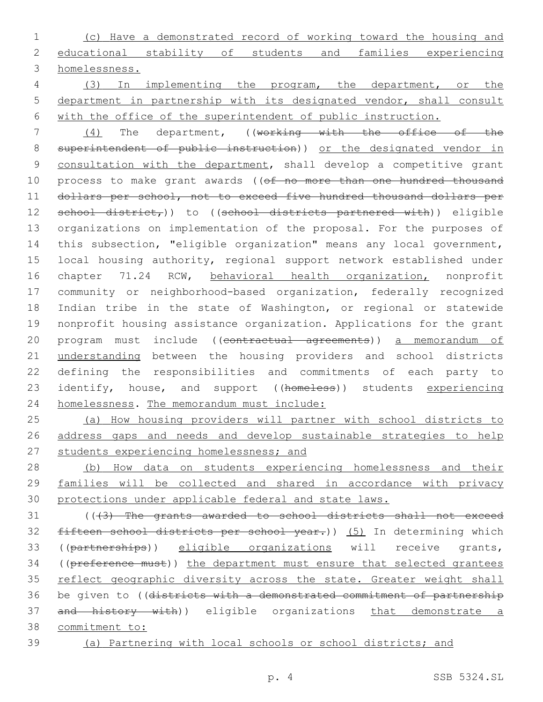(c) Have a demonstrated record of working toward the housing and educational stability of students and families experiencing homelessness.

 (3) In implementing the program, the department, or the department in partnership with its designated vendor, shall consult with the office of the superintendent of public instruction.

 (4) The department, ((working with the office of the 8 superintendent of public instruction)) or the designated vendor in consultation with the department, shall develop a competitive grant 10 process to make grant awards ((of no more than one hundred thousand dollars per school, not to exceed five hundred thousand dollars per 12 school district,)) to ((school districts partnered with)) eligible organizations on implementation of the proposal. For the purposes of this subsection, "eligible organization" means any local government, local housing authority, regional support network established under chapter 71.24 RCW, behavioral health organization, nonprofit community or neighborhood-based organization, federally recognized Indian tribe in the state of Washington, or regional or statewide nonprofit housing assistance organization. Applications for the grant program must include ((contractual agreements)) a memorandum of understanding between the housing providers and school districts defining the responsibilities and commitments of each party to 23 identify, house, and support ((homeless)) students experiencing homelessness. The memorandum must include:

 (a) How housing providers will partner with school districts to address gaps and needs and develop sustainable strategies to help 27 students experiencing homelessness; and

 (b) How data on students experiencing homelessness and their families will be collected and shared in accordance with privacy protections under applicable federal and state laws.

 (((3) The grants awarded to school districts shall not exceed 32 fifteen school districts per school year.)) (5) In determining which ((partnerships)) eligible organizations will receive grants, 34 ((preference must)) the department must ensure that selected grantees 35 reflect geographic diversity across the state. Greater weight shall be given to ((districts with a demonstrated commitment of partnership 37 and history with)) eligible organizations that demonstrate a commitment to:

(a) Partnering with local schools or school districts; and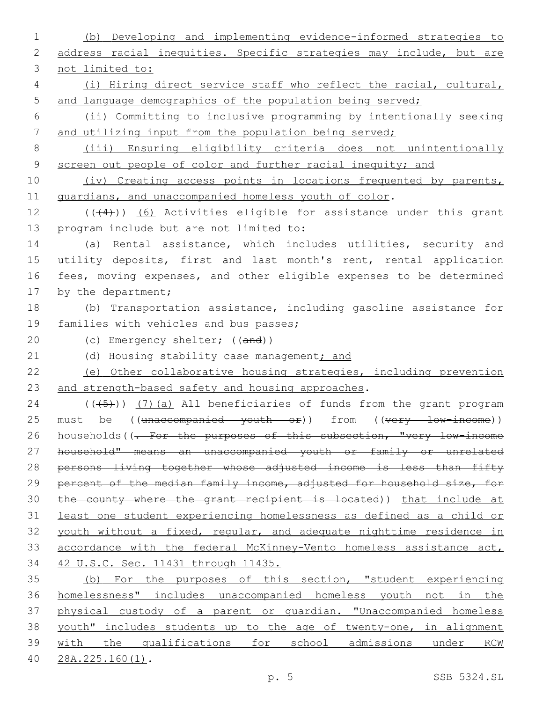1 (b) Developing and implementing evidence-informed strategies to 2 address racial inequities. Specific strategies may include, but are 3 not limited to: 4 (i) Hiring direct service staff who reflect the racial, cultural, 5 and language demographics of the population being served; 6 (ii) Committing to inclusive programming by intentionally seeking 7 and utilizing input from the population being served; 8 (iii) Ensuring eligibility criteria does not unintentionally 9 screen out people of color and further racial inequity; and 10 (iv) Creating access points in locations frequented by parents, 11 guardians, and unaccompanied homeless youth of color. 12  $((+4))$   $(6)$  Activities eligible for assistance under this grant 13 program include but are not limited to: 14 (a) Rental assistance, which includes utilities, security and 15 utility deposits, first and last month's rent, rental application 16 fees, moving expenses, and other eligible expenses to be determined 17 by the department; 18 (b) Transportation assistance, including gasoline assistance for 19 families with vehicles and bus passes; 20 (c) Emergency shelter; ((and)) 21 (d) Housing stability case management; and 22 (e) Other collaborative housing strategies, including prevention 23 and strength-based safety and housing approaches.  $24$  (( $(-5)$ )) (7)(a) All beneficiaries of funds from the grant program 25 must be ((unaccompanied youth or)) from ((very low-income)) 26 households((- For the purposes of this subsection, "very low-income 27 household" means an unaccompanied youth or family or unrelated 28 persons living together whose adjusted income is less than fifty 29 percent of the median family income, adjusted for household size, for 30 the county where the grant recipient is located)) that include at 31 least one student experiencing homelessness as defined as a child or 32 youth without a fixed, regular, and adequate nighttime residence in 33 accordance with the federal McKinney-Vento homeless assistance act, 34 42 U.S.C. Sec. 11431 through 11435. 35 (b) For the purposes of this section, "student experiencing 36 homelessness" includes unaccompanied homeless youth not in the 37 physical custody of a parent or guardian. "Unaccompanied homeless 38 youth" includes students up to the age of twenty-one, in alignment 39 with the qualifications for school admissions under RCW 28A.225.160(1).40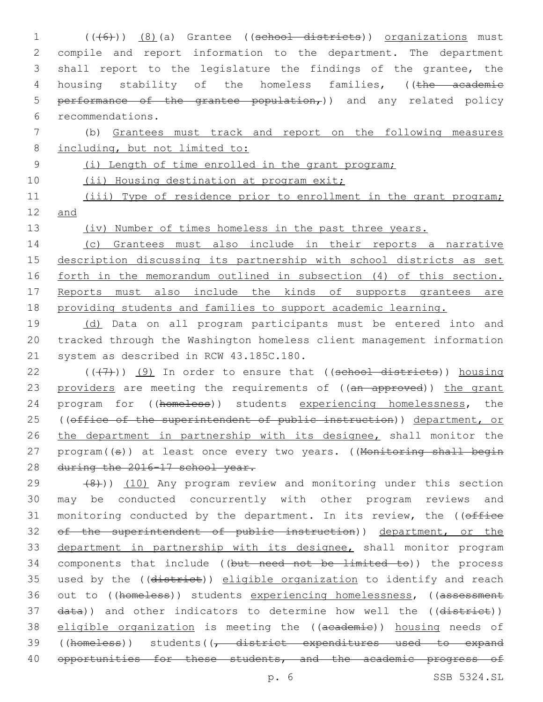1 (((6)) (8)(a) Grantee ((school districts)) organizations must 2 compile and report information to the department. The department 3 shall report to the legislature the findings of the grantee, the 4 housing stability of the homeless families, ((the academic 5 performance of the grantee population,)) and any related policy recommendations.6

7 (b) Grantees must track and report on the following measures 8 including, but not limited to:

9 (i) Length of time enrolled in the grant program;

10 (ii) Housing destination at program exit;

11 (iii) Type of residence prior to enrollment in the grant program; 12 and

13 (iv) Number of times homeless in the past three years.

 (c) Grantees must also include in their reports a narrative 15 description discussing its partnership with school districts as set forth in the memorandum outlined in subsection (4) of this section. Reports must also include the kinds of supports grantees are providing students and families to support academic learning.

19 (d) Data on all program participants must be entered into and 20 tracked through the Washington homeless client management information 21 system as described in RCW 43.185C.180.

 $22$  ( $(\overline{+7})$ ) (9) In order to ensure that ((school districts)) housing 23 providers are meeting the requirements of ((an approved)) the grant 24 program for ((homeless)) students experiencing homelessness, the 25 ((office of the superintendent of public instruction)) department, or 26 the department in partnership with its designee, shall monitor the 27 program((s)) at least once every two years. ((Monitoring shall begin 28 during the 2016-17 school year.

 $(29 \t (8))$  (10) Any program review and monitoring under this section 30 may be conducted concurrently with other program reviews and 31 monitoring conducted by the department. In its review, the ((office 32 of the superintendent of public instruction)) department, or the 33 department in partnership with its designee, shall monitor program 34 components that include ((but need not be limited to)) the process 35 used by the ((district)) eligible organization to identify and reach 36 out to ((homeless)) students experiencing homelessness, ((assessment 37 data)) and other indicators to determine how well the ((district)) 38 eligible organization is meeting the ((academie)) housing needs of 39 ((homeless)) students((, district expenditures used to expand 40 opportunities for these students, and the academic progress of